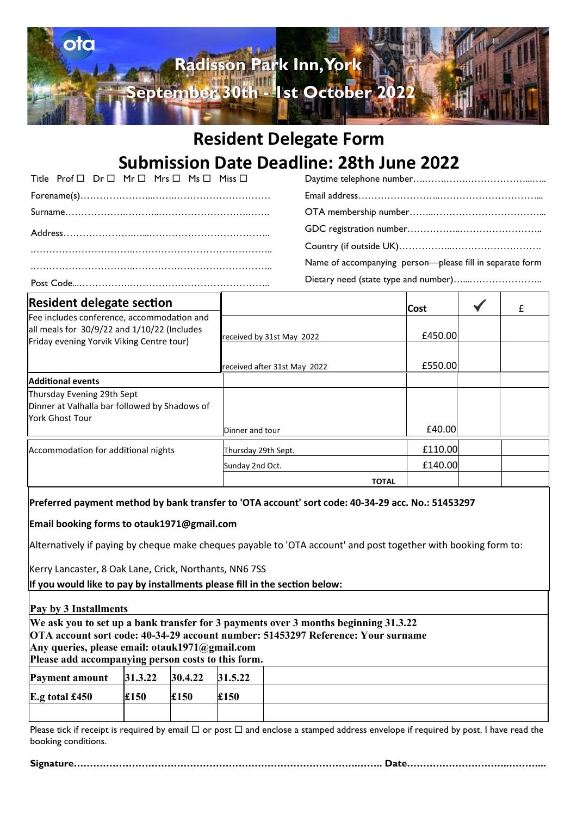

### **Resident Delegate Form Submission Date Deadline: 28th June 2022**

| Title Prof □ Dr □ Mr □ Mrs □ Ms □ Miss □ |  |  |  |
|------------------------------------------|--|--|--|
|                                          |  |  |  |
|                                          |  |  |  |
|                                          |  |  |  |
|                                          |  |  |  |
|                                          |  |  |  |
|                                          |  |  |  |

Daytime telephone number….…….…….………………...….. Email address……………………..…………………………... OTA membership number……..……………………………... GDC registration number……………..…………………….. Country (if outside UK)……………..………………………. Name of accompanying person—please fill in separate form Dietary need (state type and number)…...…………………..

| <b>Resident delegate section</b>                                                                                                       |                              | <b>Cost</b> | £ |
|----------------------------------------------------------------------------------------------------------------------------------------|------------------------------|-------------|---|
| Fee includes conference, accommodation and<br>all meals for 30/9/22 and 1/10/22 (Includes<br>Friday evening Yorvik Viking Centre tour) | received by 31st May 2022    | £450.00     |   |
|                                                                                                                                        | received after 31st May 2022 | £550.00     |   |
| <b>Additional events</b>                                                                                                               |                              |             |   |
| Thursday Evening 29th Sept<br>Dinner at Valhalla bar followed by Shadows of<br>York Ghost Tour                                         |                              |             |   |
|                                                                                                                                        | Dinner and tour              | £40.00      |   |
| Accommodation for additional nights                                                                                                    | Thursday 29th Sept.          | £110.00     |   |
|                                                                                                                                        | Sunday 2nd Oct.              | £140.00     |   |
|                                                                                                                                        | <b>TOTAL</b>                 |             |   |

#### **Preferred payment method by bank transfer to 'OTA account' sort code: 40-34-29 acc. No.: 51453297**

**Email booking forms to otauk1971@gmail.com**

Alternatively if paying by cheque make cheques payable to 'OTA account' and post together with booking form to:

Kerry Lancaster, 8 Oak Lane, Crick, Northants, NN6 7SS

**If you would like to pay by installments please fill in the section below:**

### **Pay by 3 Installments We ask you to set up a bank transfer for 3 payments over 3 months beginning 31.3.22 OTA account sort code: 40-34-29 account number: 51453297 Reference: Your surname Any queries, please email: otauk1971@gmail.com Please add accompanying person costs to this form. Payment amount 31.3.22 30.4.22 31.5.22 E.g total £450 £150 £150 £150**

Please tick if receipt is required by email  $\Box$  or post  $\Box$  and enclose a stamped address envelope if required by post. I have read the booking conditions.

**Signature…………………………………………………………………………….…….. Date…………………………..………...**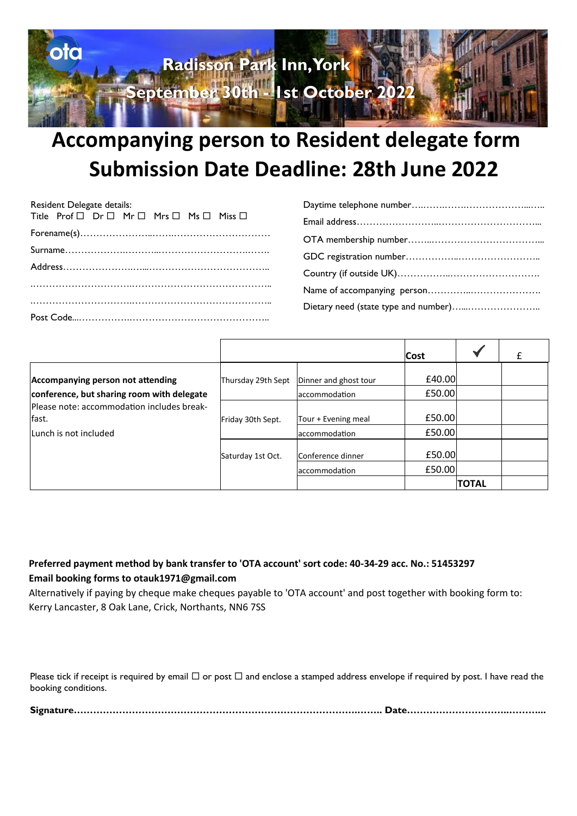

# **Accompanying person to Resident delegate form Submission Date Deadline: 28th June 2022**

| Resident Delegate details:                                             |  |  |  |
|------------------------------------------------------------------------|--|--|--|
| Title Prof $\Box$ Dr $\Box$ Mr $\Box$ Mrs $\Box$ Ms $\Box$ Miss $\Box$ |  |  |  |
|                                                                        |  |  |  |
|                                                                        |  |  |  |
|                                                                        |  |  |  |
|                                                                        |  |  |  |
|                                                                        |  |  |  |
|                                                                        |  |  |  |

| Dietary need (state type and number) |
|--------------------------------------|

|                                                     |                    |                       | Cost   |              | £ |
|-----------------------------------------------------|--------------------|-----------------------|--------|--------------|---|
| Accompanying person not attending                   | Thursday 29th Sept | Dinner and ghost tour | £40.00 |              |   |
| conference, but sharing room with delegate          |                    | accommodation         | £50.00 |              |   |
| Please note: accommodation includes break-<br>fast. | Friday 30th Sept.  | Tour + Evening meal   | £50.00 |              |   |
| Lunch is not included                               |                    | accommodation         | £50.00 |              |   |
|                                                     | Saturday 1st Oct.  | Conference dinner     | £50.00 |              |   |
|                                                     |                    | laccommodation        | £50.00 |              |   |
|                                                     |                    |                       |        | <b>TOTAL</b> |   |

### **Preferred payment method by bank transfer to 'OTA account' sort code: 40-34-29 acc. No.: 51453297 Email booking forms to otauk1971@gmail.com**

Alternatively if paying by cheque make cheques payable to 'OTA account' and post together with booking form to: Kerry Lancaster, 8 Oak Lane, Crick, Northants, NN6 7SS

Please tick if receipt is required by email  $\Box$  or post  $\Box$  and enclose a stamped address envelope if required by post. I have read the booking conditions.

|--|